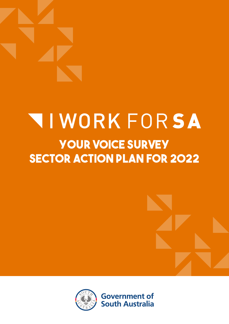# **NIWORK FORSA Your Voice Survey sector action plan for 2022**





**Government of South Australia**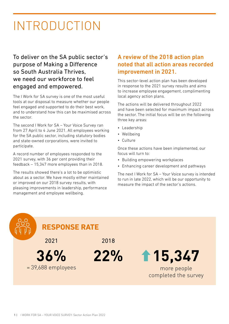## INTRODUCTION

To deliver on the SA public sector's purpose of Making a Difference so South Australia Thrives, we need our workforce to feel engaged and empowered.

The I Work for SA survey is one of the most useful tools at our disposal to measure whether our people feel engaged and supported to do their best work, and to understand how this can be maximised across the sector.

The second I Work for SA – Your Voice Survey ran from 27 April to 4 June 2021. All employees working for the SA public sector, including statutory bodies and state-owned corporations, were invited to participate.

A record number of employees responded to the 2021 survey, with 36 per cent providing their feedback – 15,347 more employees than in 2018.

The results showed there's a lot to be optimistic about as a sector. We have mostly either maintained or improved on our 2018 survey results, with pleasing improvements in leadership, performance management and employee wellbeing.

#### A review of the 2018 action plan noted that all action areas recorded improvement in 2021.

This sector-level action plan has been developed in response to the 2021 survey results and aims to increase employee engagement, complimenting local agency action plans.

The actions will be delivered throughout 2022 and have been selected for maximum impact across the sector. The initial focus will be on the following three key areas:

- Leadership
- Wellbeing
- Culture

Once these actions have been implemented, our focus will turn to:

- Building empowering workplaces
- Enhancing career development and pathways

The next I Work for SA – Your Voice survey is intended to run in late 2022, which will be our opportunity to measure the impact of the sector's actions.

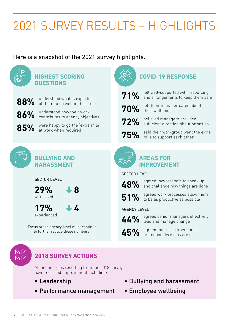# 2021 SURVEY RESULTS – HIGHLIGHTS

Here is a snapshot of the 2021 survey highlights.



### **2018 SURVEY ACTIONS**

All action areas resulting from the 2018 survey have recorded improvement including:

- Leadership
- Performance management
- Bullying and harassment
- Employee wellbeing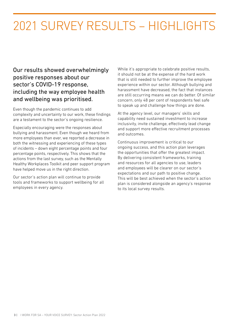# 2021 SURVEY RESULTS – HIGHLIGHTS

Our results showed overwhelmingly positive responses about our sector's COVID-19 response, including the way employee health and wellbeing was prioritised.

Even though the pandemic continues to add complexity and uncertainty to our work, these findings are a testament to the sector's ongoing resilience.

Especially encouraging were the responses about bullying and harassment. Even though we heard from more employees than ever, we reported a decrease in both the witnessing and experiencing of these types of incidents – down eight percentage points and four percentage points, respectively. This shows that the actions from the last survey, such as the Mentally Healthy Workplaces Toolkit and peer support program have helped move us in the right direction.

Our sector's action plan will continue to provide tools and frameworks to support wellbeing for all employees in every agency.

While it's appropriate to celebrate positive results, it should not be at the expense of the hard work that is still needed to further improve the employee experience within our sector. Although bullying and harassment have decreased, the fact that instances are still occurring means we can do better. Of similar concern, only 48 per cent of respondents feel safe to speak up and challenge how things are done.

At the agency level, our managers' skills and capability need sustained investment to increase inclusivity, invite challenge, effectively lead change and support more effective recruitment processes and outcomes.

Continuous improvement is critical to our ongoing success, and this action plan leverages the opportunities that offer the greatest impact. By delivering consistent frameworks, training and resources for all agencies to use, leaders and employees will be clearer on our sector's expectations and our path to positive change. This will be best achieved when the sector's action plan is considered alongside an agency's response to its local survey results.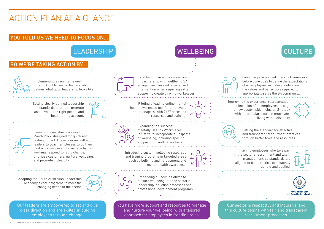### YOU TOLD US WE NEED TO FOCUS ON…

### LEADERSHIP WELLBEING WELLBEING CULTURE

### SO WE'RE TAKING ACTION BY...

Our leaders are empowered to set and give clear direction and are skilled in guiding employees through change.



You have more support and resources to manage and nurture your wellbeing, with a tailored approach for employees in frontline roles.



Our sector is respectful and inclusive, and this culture begins with fair and transparent recruitment processes.

Implementing a new framework for all SA public sector leaders which defines what good leadership looks like.

Establishing an advisory service in partnership with Wellbeing SA so agencies can seek specialised intervention when requiring extra support to create thriving workplaces.

Launching a simplified Integrity Framework before June 2022 to define the expectations of all employees, including leaders, on the values and behaviours required to appropriately serve the SA community.

Expanding the successful Mentally Healthy Workplaces initiative to incorporate all aspects of wellbeing, including specific support for frontline workers.

Setting the standard for effective and transparent recruitment practices through better tools and resources.

Embedding all new initiatives to nurture wellbeing into the sector's leadership induction processes and professional development programs.

### I WORK FOR SA HOLD FOR SA HOLD FOR SA HOLD FOR SA HOLD FOR SA HOLD FOR SA HOLD FOR SA HOLD FOR SA HOLD FOR SA <br>In the contract survey of the contract survey of the contract survey of the contract survey of the contract sur **SECTOR ACTION PLAN 2022** ACTION PLAN AT A GLANCE

Launching new short courses from March 2022, designed for quick and lasting impact. These courses will equip leaders to coach employees to do their best work, successfully manage hybrid working, respond to rapid change, prioritise customers, nurture wellbeing, and promote inclusivity.

Setting clearly defined leadership standards to attract, promote and develop the right people and hold them to account.

Piloting a leading online mental health awareness tool for employees and managers, with 24/7 access to resources and training.



Improving the experience, representation and inclusion of all employees through a new sector-wide Inclusion Strategy, with a particular focus on employees living with a disability.



Introducing custom wellbeing resources and training programs in targeted areas such as bullying and harassment, and mental health awareness.



Training employees who take part in the sector's recruitment and talent management, so standards are aligned to best practice, consistently upheld and applied.







Adapting the South Australian Leadership Academy's core programs to meet the changing needs of the sector.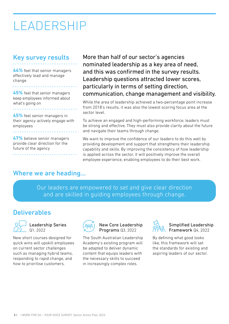## LEADERSHIP

### Key survey results

**44%** feel that senior managers effectively lead and manage change

**45%** feel that senior managers keep employees informed about what's going on

**45%** feel senior managers in their agency actively engage with employees

**47%** believe senior managers provide clear direction for the future of the agency

More than half of our sector's agencies nominated leadership as a key area of need, and this was confirmed in the survey results. Leadership questions attracted lower scores, particularly in terms of setting direction, communication, change management and visibility.

While the area of leadership achieved a two-percentage point increase from 2018's results, it was also the lowest scoring focus area at the sector level.

To achieve an engaged and high-performing workforce, leaders must be strong and effective. They must also provide clarity about the future and navigate their teams through change.

We want to improve the confidence of our leaders to do this well by providing development and support that strengthens their leadership capability and skills. By improving the consistency of how leadership is applied across the sector, it will positively improve the overall employee experience, enabling employees to do their best work.

#### Where we are heading...

Our leaders are empowered to set and give clear direction and are skilled in guiding employees through change.

### **Deliverables**



Leadership Series Q1, 2022

New short courses designed for quick wins will upskill employees on current sector challenges such as managing hybrid teams, responding to rapid change, and how to prioritise customers.



New Core Leadership Programs Q3, 2022

The South Australian Leadership Academy's existing program will be adapted to deliver dynamic content that equips leaders with the necessary skills to succeed in increasingly complex roles.



Simplified Leadership Framework Q4, 2022

By defining what good looks like, this framework will set the standards for existing and aspiring leaders of our sector.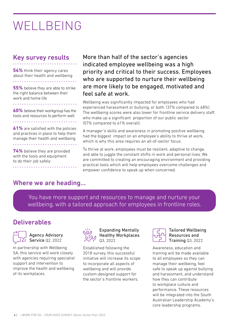## WELLBEING

### Key survey results

**54%** think their agency cares about their health and wellbeing

**55%** believe they are able to strike the right balance between their work and home life

**60%** believe their workgroup has the tools and resources to perform well 

**61%** are satisfied with the policies and practices in place to help them manage their health and wellbeing

**74%** believe they are provided with the tools and equipment to do their job safely

More than half of the sector's agencies indicated employee wellbeing was a high priority and critical to their success. Employees who are supported to nurture their wellbeing are more likely to be engaged, motivated and feel safe at work.

Wellbeing was significantly impacted for employees who had experienced harassment or bullying, or both. (37% compared to 68%). The wellbeing scores were also lower for frontline service delivery staff, who make up a significant proportion of our public sector (57% compared to 61% overall).

A manager's skills and awareness in promoting positive wellbeing had the biggest impact on an employee's ability to thrive at work, which is why this area requires an all-of-sector focus.

To thrive at work, employees must be resilient, adaptive to change, and able to juggle the constant shifts in work and personal lives. We are committed to creating an encouraging environment and providing practical tools which will help employees overcome challenges and empower confidence to speak up when concerned.

#### Where we are heading...

You have more support and resources to manage and nurture your wellbeing, with a tailored approach for employees in frontline roles.

### Deliverables



Agency Advisory Service Q2, 2022

In partnership with Wellbeing SA, this service will work closely with agencies requiring specialist support and intervention to improve the health and wellbeing of its workplaces.



Expanding Mentally Healthy Workplaces Q3, 2022

Established following the 2018 survey, this successful initiative will increase its scope to incorporate all aspects of wellbeing and will provide custom-designed support for the sector's frontline workers.



Tailored Wellbeing Resources and Training Q3, 2022

Awareness, education and training will be made available to all employees so they can manage their wellbeing, feel safe to speak up against bullying and harassment, and understand how they can contribute to workplace culture and performance. These resources will be integrated into the South Australian Leadership Academy's core leadership programs.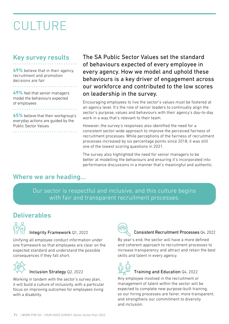# CULTURE

### Key survey results

**49%** believe that in their agency, recruitment and promotion decisions are fair

**49%** feel that senior managers model the behaviours expected of employees

**65%** believe that their workgroup's everyday actions are guided by the Public Sector Values

<u>. . . . . . . . . . .</u>

The SA Public Sector Values set the standard of behaviours expected of every employee in every agency. How we model and uphold these behaviours is a key driver of engagement across our workforce and contributed to the low scores on leadership in the survey.

Encouraging employees to live the sector's values must be fostered at an agency level. It's the role of senior leaders to continually align the sector's purpose, values and behaviours with their agency's day-to-day work in a way that's relevant to their team.

However, the survey's responses also identified the need for a consistent sector-wide approach to improve the perceived fairness of recruitment processes. While perceptions of the fairness of recruitment processes increased by six percentage points since 2018, it was still one of the lowest scoring questions in 2021.

The survey also highlighted the need for senior managers to be better at modelling the behaviours and ensuring it's incorporated into performance discussions in a manner that's meaningful and authentic.

#### Where we are heading...

Our sector is respectful and inclusive, and this culture begins with fair and transparent recruitment processes.

### Deliverables



#### Integrity Framework Q1, 2022

Unifying all employee conduct information under one framework so that employees are clear on the expected standard and understand the possible consequences if they fall short.



#### Inclusion Strategy Q2, 2022

Working in tandem with the sector's survey plan, it will build a culture of inclusivity, with a particular focus on improving outcomes for employees living with a disability.



#### Consistent Recruitment Processes Q4, 2022

By year's end, the sector will have a more defined and coherent approach to recruitment processes to increase transparency and attract and retain the best skills and talent in every agency.



#### Training and Education Q4, 2022

Any employee involved in the recruitment or management of talent within the sector will be expected to complete new purpose-built training, so our hiring processes are fairer, more transparent, and strengthens our commitment to diversity and inclusion.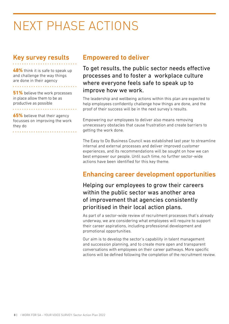# NEXT PHASE ACTIONS

### Key survey results

**48%** think it is safe to speak up and challenge the way things are done in their agency

. . . . . . . . . . . . . . . . . .

**51%** believe the work processes in place allow them to be as productive as possible

**65%** believe that their agency focusses on improving the work they do

#### Empowered to deliver

To get results, the public sector needs effective processes and to foster a workplace culture where everyone feels safe to speak up to improve how we work.

The leadership and wellbeing actions within this plan are expected to help employees confidently challenge how things are done, and the proof of their success will be in the next survey's results.

Empowering our employees to deliver also means removing unnecessary obstacles that cause frustration and create barriers to getting the work done.

The Easy to Do Business Council was established last year to streamline internal and external processes and deliver improved customer experiences, and its recommendations will be sought on how we can best empower our people. Until such time, no further sector-wide actions have been identified for this key theme.

### Enhancing career development opportunities

Helping our employees to grow their careers within the public sector was another area of improvement that agencies consistently prioritised in their local action plans.

As part of a sector-wide review of recruitment processes that's already underway, we are considering what employees will require to support their career aspirations, including professional development and promotional opportunities.

Our aim is to develop the sector's capability in talent management and succession planning, and to create more open and transparent conversations with employees on their career pathways. More specific actions will be defined following the completion of the recruitment review.